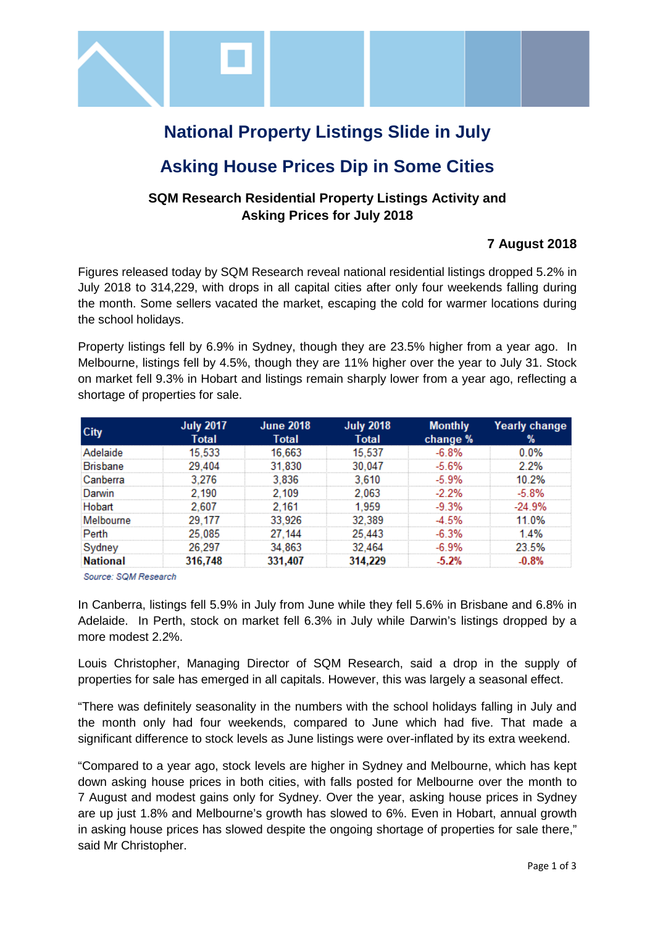

# **National Property Listings Slide in July**

# **Asking House Prices Dip in Some Cities**

### **SQM Research Residential Property Listings Activity and Asking Prices for July 2018**

### **7 August 2018**

Figures released today by SQM Research reveal national residential listings dropped 5.2% in July 2018 to 314,229, with drops in all capital cities after only four weekends falling during the month. Some sellers vacated the market, escaping the cold for warmer locations during the school holidays.

Property listings fell by 6.9% in Sydney, though they are 23.5% higher from a year ago. In Melbourne, listings fell by 4.5%, though they are 11% higher over the year to July 31. Stock on market fell 9.3% in Hobart and listings remain sharply lower from a year ago, reflecting a shortage of properties for sale.

|                 | July 2017<br>Total | <b>June 2018</b><br>Total | <b>July 2018</b><br>Total | <b>Monthly</b><br>change % | <b>Yearly change</b>                |
|-----------------|--------------------|---------------------------|---------------------------|----------------------------|-------------------------------------|
|                 |                    |                           |                           |                            |                                     |
| sbane           |                    | 830                       |                           |                            |                                     |
| Canberra        |                    | 836                       |                           |                            |                                     |
|                 |                    |                           |                           |                            |                                     |
|                 |                    |                           |                           |                            |                                     |
| Melbourne       |                    | -926                      |                           |                            |                                     |
|                 | 085                |                           |                           |                            | ,,,,,,,,,,,,,,,,,,,,,,,,,,,,,,,,,,, |
|                 |                    |                           |                           |                            |                                     |
| <b>National</b> |                    |                           |                           |                            |                                     |

Source: SQM Research

In Canberra, listings fell 5.9% in July from June while they fell 5.6% in Brisbane and 6.8% in Adelaide. In Perth, stock on market fell 6.3% in July while Darwin's listings dropped by a more modest 2.2%.

Louis Christopher, Managing Director of SQM Research, said a drop in the supply of properties for sale has emerged in all capitals. However, this was largely a seasonal effect.

"There was definitely seasonality in the numbers with the school holidays falling in July and the month only had four weekends, compared to June which had five. That made a significant difference to stock levels as June listings were over-inflated by its extra weekend.

"Compared to a year ago, stock levels are higher in Sydney and Melbourne, which has kept down asking house prices in both cities, with falls posted for Melbourne over the month to 7 August and modest gains only for Sydney. Over the year, asking house prices in Sydney are up just 1.8% and Melbourne's growth has slowed to 6%. Even in Hobart, annual growth in asking house prices has slowed despite the ongoing shortage of properties for sale there," said Mr Christopher.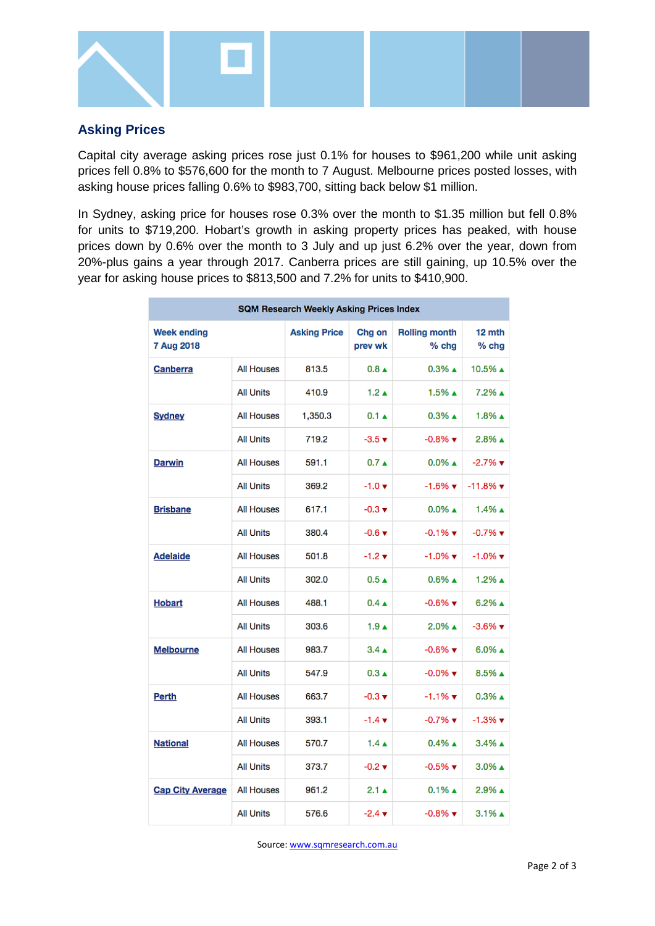

#### **Asking Prices**

Capital city average asking prices rose just 0.1% for houses to \$961,200 while unit asking prices fell 0.8% to \$576,600 for the month to 7 August. Melbourne prices posted losses, with asking house prices falling 0.6% to \$983,700, sitting back below \$1 million.

In Sydney, asking price for houses rose 0.3% over the month to \$1.35 million but fell 0.8% for units to \$719,200. Hobart's growth in asking property prices has peaked, with house prices down by 0.6% over the month to 3 July and up just 6.2% over the year, down from 20%-plus gains a year through 2017. Canberra prices are still gaining, up 10.5% over the year for asking house prices to \$813,500 and 7.2% for units to \$410,900.

| SQM Research Weekly Asking Prices Index |                   |                     |                             |                                 |                               |  |  |  |
|-----------------------------------------|-------------------|---------------------|-----------------------------|---------------------------------|-------------------------------|--|--|--|
| <b>Week ending</b><br>7 Aug 2018        |                   | <b>Asking Price</b> | Chg on<br>prev wk           | <b>Rolling month</b><br>$%$ chg | 12 mth<br>$%$ chg             |  |  |  |
| Canberra                                | <b>All Houses</b> | 813.5               | $0.8 \triangle$             | $0.3\%$ $\triangle$             | 10.5% ▲                       |  |  |  |
|                                         | <b>All Units</b>  | 410.9               | $1.2 \text{ A}$             | $1.5\%$ $\triangle$             | 7.2% ▲                        |  |  |  |
| <b>Sydney</b>                           | <b>All Houses</b> | 1,350.3             | $0.1 \triangle$             | $0.3\%$ A                       | $1.8\%$ $\triangle$           |  |  |  |
|                                         | <b>All Units</b>  | 719.2               | $-3.5 +$                    | $-0.8\%$ $\blacktriangledown$   | $2.8\%$ $\triangle$           |  |  |  |
| <b>Darwin</b>                           | <b>All Houses</b> | 591.1               | $0.7 \triangle$             | $0.0\%$ $\triangle$             | $-2.7%$ $\blacktriangledown$  |  |  |  |
|                                         | <b>All Units</b>  | 369.2               | $-1.0 \; \text{v}$          | $-1.6\%$ $\blacktriangledown$   | $-11.8%$ $\blacktriangledown$ |  |  |  |
| <b>Brisbane</b>                         | <b>All Houses</b> | 617.1               | $-0.3 +$                    | $0.0\%$ $\triangle$             | $1.4\%$ $\triangle$           |  |  |  |
|                                         | <b>All Units</b>  | 380.4               | $-0.6$ $\blacktriangledown$ | $-0.1\%$ $\blacktriangledown$   | $-0.7%$ $\blacktriangledown$  |  |  |  |
| <b>Adelaide</b>                         | <b>All Houses</b> | 501.8               | $-1.2 +$                    | $-1.0\%$ $\blacktriangledown$   | $-1.0\%$ $\blacktriangledown$ |  |  |  |
|                                         | <b>All Units</b>  | 302.0               | $0.5 \triangle$             | $0.6\%$ A                       | $1.2\%$ $\triangle$           |  |  |  |
| <b>Hobart</b>                           | <b>All Houses</b> | 488.1               | $0.4 \triangle$             | $-0.6\%$ $\blacktriangledown$   | $6.2\%$ A                     |  |  |  |
|                                         | <b>All Units</b>  | 303.6               | $1.9 \text{ A}$             | 2.0% ▲                          | $-3.6\%$ $\blacktriangledown$ |  |  |  |
| Melbourne                               | <b>All Houses</b> | 983.7               | $3.4 \triangle$             | $-0.6\%$ $\blacktriangledown$   | $6.0\%$ A                     |  |  |  |
|                                         | <b>All Units</b>  | 547.9               | $0.3 \triangle$             | $-0.0\%$ $\blacktriangledown$   | $8.5\%$ $\triangle$           |  |  |  |
| <b>Perth</b>                            | <b>All Houses</b> | 663.7               | $-0.3 +$                    | -1.1% ▼                         | $0.3\%$ $\triangle$           |  |  |  |
|                                         | <b>All Units</b>  | 393.1               | $-1.4 \; \text{v}$          | $-0.7\%$ $\blacktriangledown$   | $-1.3\%$ $\blacktriangledown$ |  |  |  |
| <b>National</b>                         | <b>All Houses</b> | 570.7               | $1.4 \triangle$             | $0.4\%$ $\triangle$             | 3.4% ▲                        |  |  |  |
|                                         | <b>All Units</b>  | 373.7               | $-0.2 +$                    | $-0.5\%$ $\blacktriangledown$   | $3.0\%$ A                     |  |  |  |
| <b>Cap City Average</b>                 | <b>All Houses</b> | 961.2               | 2.1 △                       | $0.1\%$ $\triangle$             | 2.9% ▲                        |  |  |  |
|                                         | <b>All Units</b>  | 576.6               | $-2.4 \; \text{v}$          | $-0.8\%$ $\blacktriangledown$   | $3.1\%$ $\triangle$           |  |  |  |

Source[: www.sqmresearch.com.au](http://www.sqmresearch.com.au/)